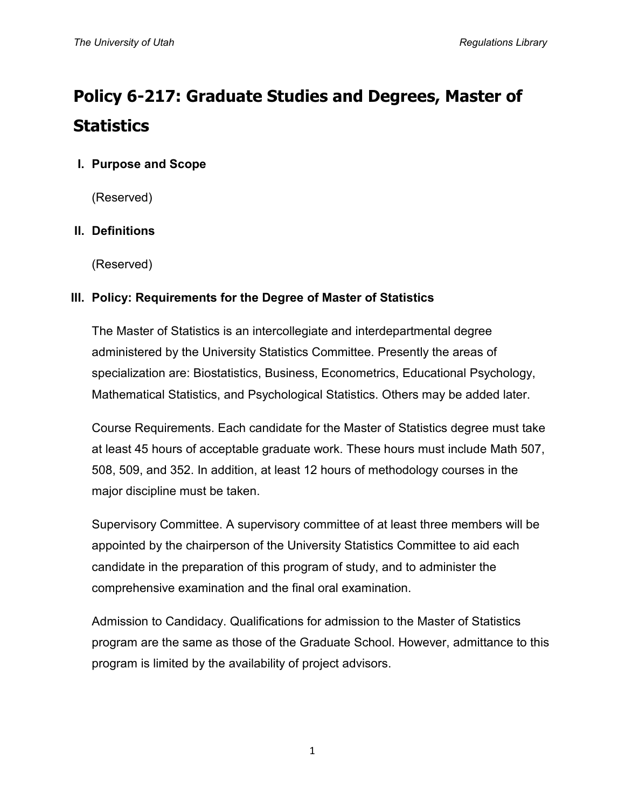# **Policy 6-217: Graduate Studies and Degrees, Master of Statistics**

# **I. Purpose and Scope**

(Reserved)

# **II. Definitions**

(Reserved)

## **III. Policy: Requirements for the Degree of Master of Statistics**

The Master of Statistics is an intercollegiate and interdepartmental degree administered by the University Statistics Committee. Presently the areas of specialization are: Biostatistics, Business, Econometrics, Educational Psychology, Mathematical Statistics, and Psychological Statistics. Others may be added later.

Course Requirements. Each candidate for the Master of Statistics degree must take at least 45 hours of acceptable graduate work. These hours must include Math 507, 508, 509, and 352. In addition, at least 12 hours of methodology courses in the major discipline must be taken.

Supervisory Committee. A supervisory committee of at least three members will be appointed by the chairperson of the University Statistics Committee to aid each candidate in the preparation of this program of study, and to administer the comprehensive examination and the final oral examination.

Admission to Candidacy. Qualifications for admission to the Master of Statistics program are the same as those of the Graduate School. However, admittance to this program is limited by the availability of project advisors.

1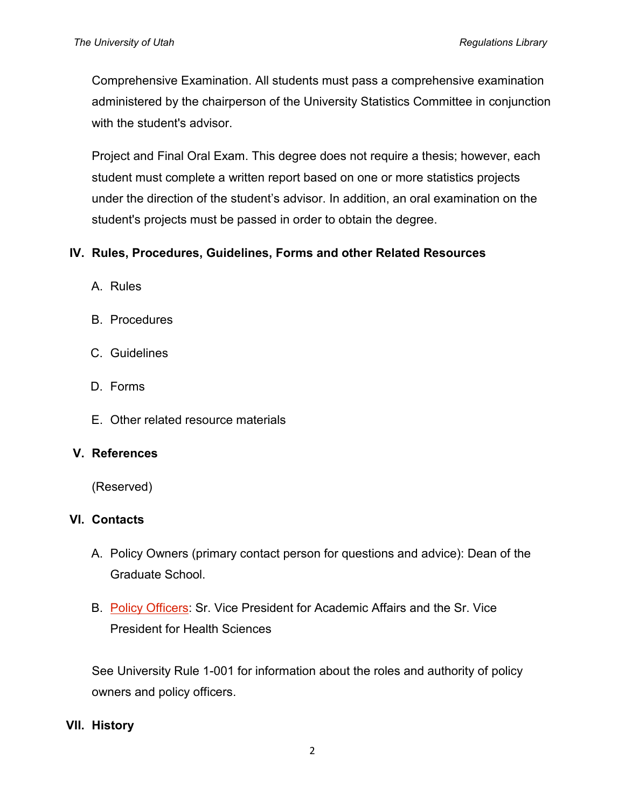Comprehensive Examination. All students must pass a comprehensive examination administered by the chairperson of the University Statistics Committee in conjunction with the student's advisor.

Project and Final Oral Exam. This degree does not require a thesis; however, each student must complete a written report based on one or more statistics projects under the direction of the student's advisor. In addition, an oral examination on the student's projects must be passed in order to obtain the degree.

## **IV. Rules, Procedures, Guidelines, Forms and other Related Resources**

- A. Rules
- B. Procedures
- C. Guidelines
- D. Forms
- E. Other related resource materials

#### **V. References**

(Reserved)

## **VI. Contacts**

- A. Policy Owners (primary contact person for questions and advice): Dean of the Graduate School.
- B. [Policy Officers:](http://regulations.utah.edu/info/index.php) Sr. Vice President for Academic Affairs and the Sr. Vice President for Health Sciences

See University Rule 1-001 for information about the roles and authority of policy owners and policy officers.

#### **VII. History**